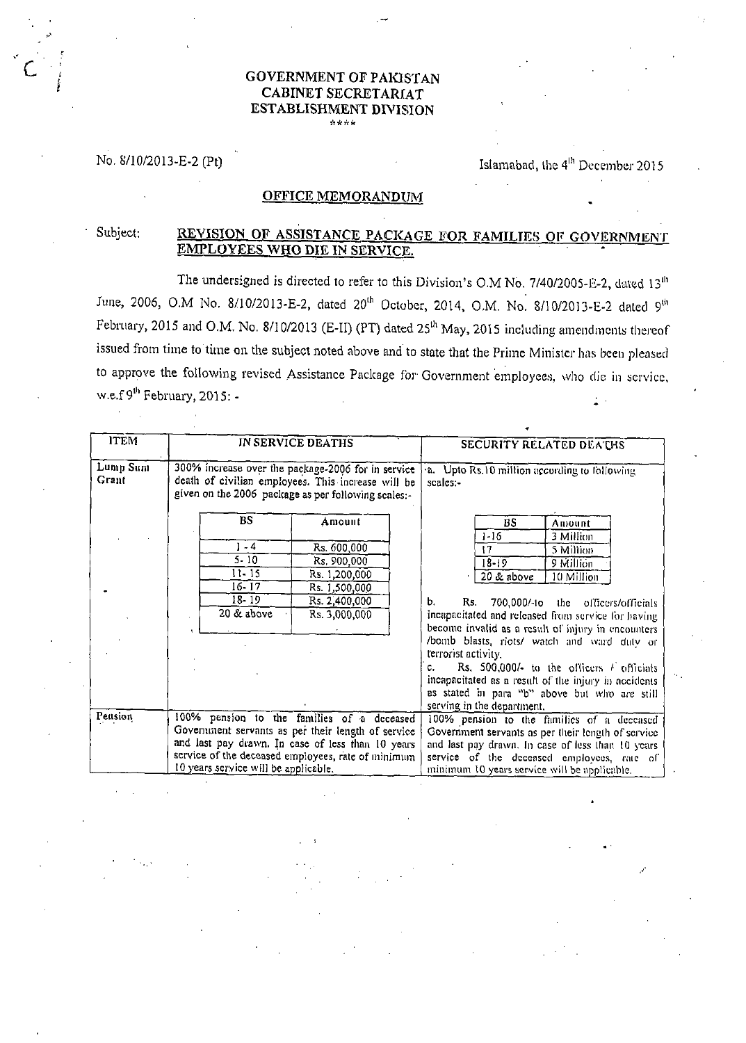## **GOVERNMENT OF PAKISTAN** CABINET SECRETARIAT **ESTABLISHMENT DIVISION**

No. 8/10/2013-E-2 (Pt)

## Islamabad, the 4<sup>th</sup> December 2015

## **OFFICE MEMORANDUM**

## Subject: REVISION OF ASSISTANCE PACKAGE FOR FAMILIES OF GOVERNMENT EMPLOYEES WHO DIE IN SERVICE.

The undersigned is directed to refer to this Division's O.M No. 7/40/2005-E-2, dated 13<sup>th</sup> June, 2006, O.M No. 8/10/2013-E-2, dated 20<sup>th</sup> October, 2014, O.M. No. 8/10/2013-E-2 dated 9<sup>th</sup> February, 2015 and O.M. No. 8/10/2013 (E-II) (PT) dated 25<sup>th</sup> May, 2015 including amendments thereof issued from time to time on the subject noted above and to state that the Prime Minister has been pleased to approve the following revised Assistance Package for Government employees, who die in service, w.e.f  $9^{th}$  February, 2015: -

|                                                                                                                                                                                                                                                                |                                                                                                                                                                                             |    |        | <b>SECURITY RELATED DEATHS</b>                             |                                                                                                |  |                                                                            |
|----------------------------------------------------------------------------------------------------------------------------------------------------------------------------------------------------------------------------------------------------------------|---------------------------------------------------------------------------------------------------------------------------------------------------------------------------------------------|----|--------|------------------------------------------------------------|------------------------------------------------------------------------------------------------|--|----------------------------------------------------------------------------|
| 300% increase over the package-2006 for in service<br>death of civilian employees. This increase will be<br>given on the 2006 package as per following scales:-                                                                                                |                                                                                                                                                                                             |    |        | a. Upto Rs.10 million according to following<br>$scale: -$ |                                                                                                |  |                                                                            |
| Amount                                                                                                                                                                                                                                                         |                                                                                                                                                                                             | BS | Amount |                                                            |                                                                                                |  |                                                                            |
|                                                                                                                                                                                                                                                                |                                                                                                                                                                                             |    |        |                                                            |                                                                                                |  |                                                                            |
|                                                                                                                                                                                                                                                                |                                                                                                                                                                                             |    |        |                                                            |                                                                                                |  |                                                                            |
|                                                                                                                                                                                                                                                                |                                                                                                                                                                                             |    |        |                                                            |                                                                                                |  |                                                                            |
|                                                                                                                                                                                                                                                                |                                                                                                                                                                                             |    |        |                                                            |                                                                                                |  |                                                                            |
|                                                                                                                                                                                                                                                                | b.                                                                                                                                                                                          |    |        |                                                            |                                                                                                |  |                                                                            |
|                                                                                                                                                                                                                                                                |                                                                                                                                                                                             |    |        |                                                            |                                                                                                |  |                                                                            |
|                                                                                                                                                                                                                                                                |                                                                                                                                                                                             |    |        |                                                            |                                                                                                |  |                                                                            |
|                                                                                                                                                                                                                                                                |                                                                                                                                                                                             |    |        |                                                            |                                                                                                |  |                                                                            |
|                                                                                                                                                                                                                                                                |                                                                                                                                                                                             |    |        |                                                            |                                                                                                |  |                                                                            |
|                                                                                                                                                                                                                                                                | Rs. 500,000/- to the officers $\ell$ officials<br>c.<br>incapacitated as a result of the injury in accidents<br>as stated in para "b" above but who are still<br>serving in the department. |    |        |                                                            |                                                                                                |  |                                                                            |
|                                                                                                                                                                                                                                                                |                                                                                                                                                                                             |    |        |                                                            |                                                                                                |  |                                                                            |
|                                                                                                                                                                                                                                                                |                                                                                                                                                                                             |    |        |                                                            |                                                                                                |  |                                                                            |
|                                                                                                                                                                                                                                                                |                                                                                                                                                                                             |    |        |                                                            |                                                                                                |  |                                                                            |
| Pension<br>100% pension to the families of a deceased<br>Government servants as per their length of service<br>and last pay drawn. In case of less than 10 years<br>service of the deceased employees, rate of minimum<br>10 years service will be applicable. |                                                                                                                                                                                             |    |        |                                                            |                                                                                                |  |                                                                            |
|                                                                                                                                                                                                                                                                |                                                                                                                                                                                             |    |        | and last pay drawn. In case of less than 10 years          |                                                                                                |  |                                                                            |
|                                                                                                                                                                                                                                                                |                                                                                                                                                                                             |    |        |                                                            |                                                                                                |  |                                                                            |
|                                                                                                                                                                                                                                                                |                                                                                                                                                                                             |    |        |                                                            | Rs. 600,000<br>Rs. 900,000<br>Rs. 1,200,000<br>Rs. 1,500,000<br>Rs. 2,400,000<br>Rs. 3,000,000 |  | $1 - 16$<br>17<br>$18 - 19$<br>$20 \&$ above<br>Rs.<br>terrorist activity. |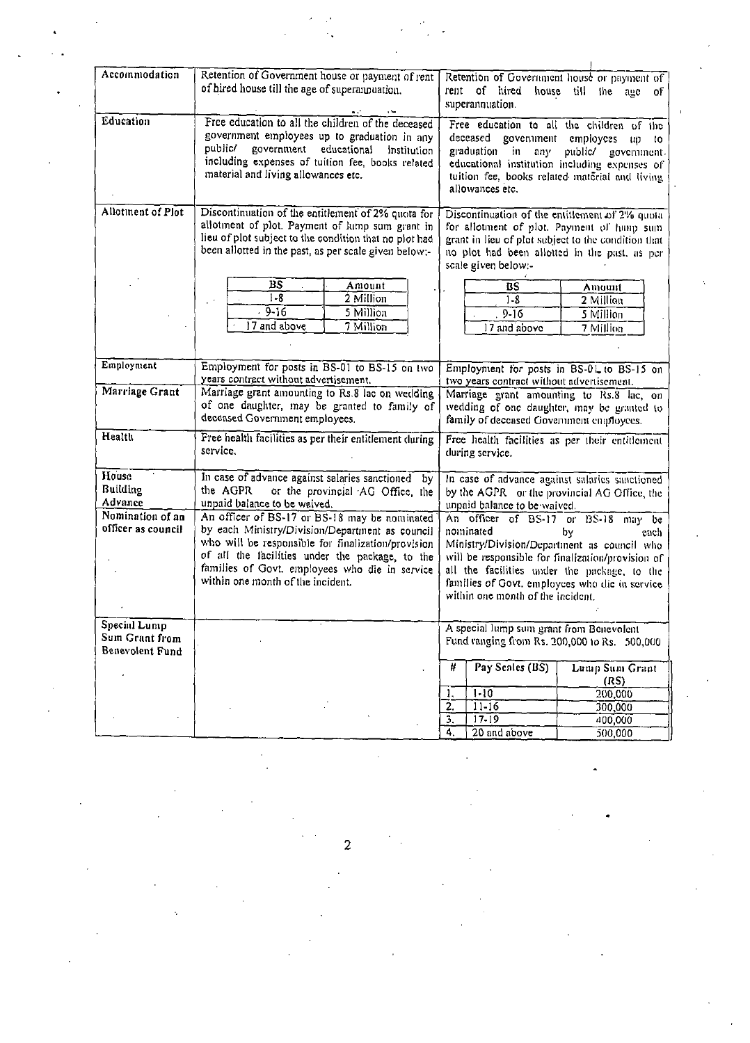| Accommodation                                                          | Retention of Government house or payment of rent<br>of hired house till the age of superannuation.                                                                                                                                                                                       | Retention of Government house or payment of<br>rent of hired<br>house till the age of<br>superannuation.                                                                                                                                                                                                                                                                                                                                     |  |  |  |
|------------------------------------------------------------------------|------------------------------------------------------------------------------------------------------------------------------------------------------------------------------------------------------------------------------------------------------------------------------------------|----------------------------------------------------------------------------------------------------------------------------------------------------------------------------------------------------------------------------------------------------------------------------------------------------------------------------------------------------------------------------------------------------------------------------------------------|--|--|--|
| Education                                                              | Free education to all the children of the deceased<br>government employees up to graduation in any<br>public/ government educational<br>Institution<br>including expenses of tuition fee, books related<br>material and living allowances etc.                                           | Free education to all the children of the<br>deceased government<br>employees<br>up<br>to.<br>graduation in<br>any<br>public/ government.<br>educational institution including expenses of<br>tuition fee, books related material and living<br>allowances etc.                                                                                                                                                                              |  |  |  |
| Allotment of Plot                                                      | Discontinuation of the entitlement of 2% quota for<br>allotment of plot. Payment of lump sum grant in<br>lieu of plot subject to the condition that no plot had<br>been allotted in the past, as per scale given below:-<br>BS<br>Amount<br>$1 - 8$<br>2 Million<br>$-9-16$<br>5 Million | Discontinuation of the entitlement of 2% quota<br>for allotment of plot. Payment of hump sum<br>grant in lieu of plot subject to the condition that<br>no plot had been allotted in the past, as per<br>scale given below:-<br><b>BS</b><br>Amount<br>$1 - 8$<br>2 Million<br>$9 - 16$<br>5 Million                                                                                                                                          |  |  |  |
| Employment                                                             | 17 and above<br>7 Million<br>Employment for posts in BS-01 to BS-15 on two                                                                                                                                                                                                               | 17 and above<br>7 Million<br>Employment for posts in BS-01 to BS-15 on                                                                                                                                                                                                                                                                                                                                                                       |  |  |  |
| Marriage Grant                                                         | years contract without advertisement.<br>Marriage grant amounting to Rs.8 lac on wedding<br>of one daughter, may be granted to family of<br>deceased Government employees.                                                                                                               | two years contract without advertisement.<br>Marriage grant amounting to Rs.8 lac, on<br>wedding of one daughter, may be granted to<br>family of deceased Government employees.                                                                                                                                                                                                                                                              |  |  |  |
| Health                                                                 | Free health facilities as per their entitlement during<br>service.                                                                                                                                                                                                                       | Free health facilities as per their entitlement<br>during service.                                                                                                                                                                                                                                                                                                                                                                           |  |  |  |
| House<br>Building<br>Advance<br>Nomination of an<br>officer as council | In case of advance against salaries sanctioned by<br>the AGPR<br>or the provincial AG Office, the<br>unpaid balance to be waived.<br>An officer of BS-17 or BS-18 may be nominated<br>by each Ministry/Division/Department as council                                                    | In case of advance against salaries sanctioned<br>by the AGPR or the provincial AG Office, the<br>unpaid balance to be waived.<br>An officer of BS-17 or BS-18 may be<br>nominated<br>bγ<br>each-<br>Ministry/Division/Department as council who<br>will be responsible for finalization/provision of<br>all the facilities under the package, to the<br>families of Govt, employees who die in service<br>within one month of the incident. |  |  |  |
|                                                                        | who will be responsible for finalization/provision<br>of all the facilities under the package, to the<br>families of Govt. employees who die in service<br>within one month of the incident.                                                                                             |                                                                                                                                                                                                                                                                                                                                                                                                                                              |  |  |  |
| Special Lump<br>Sum Grant from<br>Benevolent Fund                      |                                                                                                                                                                                                                                                                                          | A special lump sum grant from Benevolent<br>Fund ranging from Rs. 200,000 to Rs. 500,000                                                                                                                                                                                                                                                                                                                                                     |  |  |  |
|                                                                        |                                                                                                                                                                                                                                                                                          | Pay Senles (BS)<br>#<br>Lump Sum Grant<br>(RS)                                                                                                                                                                                                                                                                                                                                                                                               |  |  |  |
|                                                                        |                                                                                                                                                                                                                                                                                          | $1 - 10$<br>200,000                                                                                                                                                                                                                                                                                                                                                                                                                          |  |  |  |
|                                                                        |                                                                                                                                                                                                                                                                                          | $11 - 16$<br>2.<br>300,000                                                                                                                                                                                                                                                                                                                                                                                                                   |  |  |  |
|                                                                        |                                                                                                                                                                                                                                                                                          | $17 - 19$<br>з.<br>400,000                                                                                                                                                                                                                                                                                                                                                                                                                   |  |  |  |
|                                                                        |                                                                                                                                                                                                                                                                                          | $20$ and above<br>500.000                                                                                                                                                                                                                                                                                                                                                                                                                    |  |  |  |

 $\label{eq:2.1} \begin{split} \mathcal{L}_{\text{max}}(\mathbf{r}) & = \frac{1}{2} \sum_{i=1}^{N} \frac{d_i}{d_i} \mathbf{r}_i \mathbf{r}_i \mathbf{r}_i \mathbf{r}_i \\ & = \frac{1}{2} \sum_{i=1}^{N} \frac{d_i}{d_i} \mathbf{r}_i \mathbf{r}_i \mathbf{r}_i \mathbf{r}_i \mathbf{r}_i \mathbf{r}_i \mathbf{r}_i \mathbf{r}_i \mathbf{r}_i \mathbf{r}_i \mathbf{r}_i \mathbf{r}_i \mathbf{r}_i \mathbf{r}_i \mathbf{r}_$ 

 $\overline{2}$ 

 $\label{eq:2} \frac{1}{2} \int_{\mathbb{R}^3} \frac{1}{\sqrt{2}} \, \frac{1}{\sqrt{2}} \, \frac{1}{\sqrt{2}} \, \frac{1}{\sqrt{2}} \, \frac{1}{\sqrt{2}} \, \frac{1}{\sqrt{2}} \, \frac{1}{\sqrt{2}} \, \frac{1}{\sqrt{2}} \, \frac{1}{\sqrt{2}} \, \frac{1}{\sqrt{2}} \, \frac{1}{\sqrt{2}} \, \frac{1}{\sqrt{2}} \, \frac{1}{\sqrt{2}} \, \frac{1}{\sqrt{2}} \, \frac{1}{\sqrt{2}} \, \frac{1}{\sqrt{2}} \, \frac$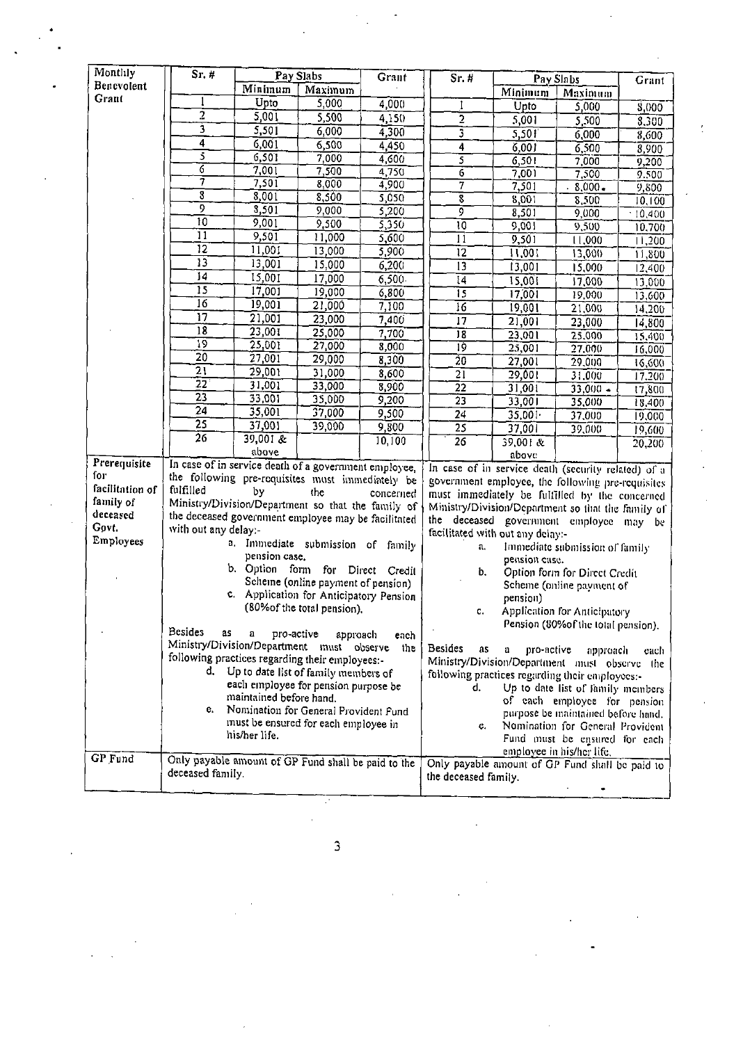| Monthly                                   | Sr.#                                                                                                                                                                                                            | Pay Slabs<br><b>Graut</b> |                                      | $Sr.$ #              | Pay Slabs                                                                                                                                                                                                                                   |                    | Grant      |           |
|-------------------------------------------|-----------------------------------------------------------------------------------------------------------------------------------------------------------------------------------------------------------------|---------------------------|--------------------------------------|----------------------|---------------------------------------------------------------------------------------------------------------------------------------------------------------------------------------------------------------------------------------------|--------------------|------------|-----------|
| Benevolent                                |                                                                                                                                                                                                                 | Minimum                   | Maximum                              |                      |                                                                                                                                                                                                                                             | Minimum<br>Maximum |            |           |
| Grant                                     |                                                                                                                                                                                                                 | Upto                      | 5,000                                | 4,000                |                                                                                                                                                                                                                                             | Upto               | 5,000      | 8,000     |
|                                           | 2                                                                                                                                                                                                               | 5,001                     | 5,500                                | 4,150                | $\overline{2}$                                                                                                                                                                                                                              | 5,001              | 5,500      | 8,300     |
|                                           | Ì                                                                                                                                                                                                               | 5,501                     | 6,000                                | 4,300                | $\bar{3}$                                                                                                                                                                                                                                   | 5,501              | 6,000      | 8,600     |
|                                           | $\overline{4}$                                                                                                                                                                                                  | 6,001                     | 6,500                                | 4,450                | 4                                                                                                                                                                                                                                           | 6,001              | 6,500      | 8,900     |
|                                           | 3                                                                                                                                                                                                               | 6,501                     | 7,000                                | 4,600                | 5                                                                                                                                                                                                                                           | 6,501              | 7,000      | 9,200     |
|                                           | 7                                                                                                                                                                                                               | 7,001                     | 7,500                                | 4,750                | 6                                                                                                                                                                                                                                           | 7,001              | 7,500      | 9.500     |
|                                           | 7                                                                                                                                                                                                               | 7,501                     | 8,000                                | 4,900                | 7                                                                                                                                                                                                                                           | 7,501              | $8,000 -$  | 9,800     |
|                                           | $\overline{\overline{\overline{3}}}$                                                                                                                                                                            | 8,001                     | 8,500                                | 5,050                | $\overline{\overline{\boldsymbol{8}}}$                                                                                                                                                                                                      | 8,001              | 8,500      | 10, 100   |
|                                           | 9                                                                                                                                                                                                               | 8,501                     | 9,000                                | 5,200                | T                                                                                                                                                                                                                                           | 8,501              | 9,000      | $-10,400$ |
|                                           | $\overline{10}$                                                                                                                                                                                                 | 9,001                     | 9,500                                | 5,350                | $\overline{10}$                                                                                                                                                                                                                             | 9,001              | 9,500      | 10,700    |
|                                           | $\overline{11}$                                                                                                                                                                                                 | 9,501                     | 11,000                               | 5,600                | 11                                                                                                                                                                                                                                          | 9,501              | 11,000     | 11,200    |
|                                           | $\overline{12}$                                                                                                                                                                                                 | 11,001                    | 13,000                               | 5,900                | $\overline{12}$                                                                                                                                                                                                                             | 11,001             | 13,000     | 11,800    |
|                                           | 13                                                                                                                                                                                                              | 13,001                    | 15,000                               | 6,200                | $\overline{13}$                                                                                                                                                                                                                             | 13,001             | 15,000     | 12,400    |
|                                           | $\overline{14}$                                                                                                                                                                                                 | 15,001                    | 17,000                               | 6,500                | $\overline{14}$                                                                                                                                                                                                                             | 15,001             | 17,000     | 13,000    |
|                                           | $\overline{15}$                                                                                                                                                                                                 | 17,001                    | 19,000                               | 6,800                | $\overline{15}$                                                                                                                                                                                                                             | 17,001             | 19,000     | 13.600    |
|                                           | $\overline{16}$                                                                                                                                                                                                 | 19,001                    | 21,000                               | 7,100                | $\overline{16}$                                                                                                                                                                                                                             | 19,001             | 21,000     | 14,200    |
|                                           | $\overline{17}$                                                                                                                                                                                                 | $\overline{21,001}$       | 23,000                               | 7,400                | 17                                                                                                                                                                                                                                          | 21,001             | 23,000     | 14,800    |
|                                           | 18                                                                                                                                                                                                              | 23,001                    | 25,000                               | 7,700                | 18                                                                                                                                                                                                                                          | 23,001             | 25,000     | 15,400    |
|                                           | $\overline{19}$                                                                                                                                                                                                 | 25,001                    | 27,000                               | 8,000                | 19                                                                                                                                                                                                                                          | 25,001             | 27,000     | 16.000    |
|                                           | 20                                                                                                                                                                                                              | 27,001                    | 29,000                               | 8,300                | $\overline{20}$                                                                                                                                                                                                                             | 27,001             | 29,000     | 16,600    |
|                                           | $\overline{21}$                                                                                                                                                                                                 | 29,001                    | 31,000                               | 8,600                | $\overline{21}$                                                                                                                                                                                                                             | 29,001             | 31,000     | 17.200    |
|                                           | $\overline{22}$                                                                                                                                                                                                 | 31,001                    | 33,000                               | 8,900                | $\overline{22}$                                                                                                                                                                                                                             | 31,001             | $33,000 -$ | 17,800    |
|                                           | $\overline{23}$                                                                                                                                                                                                 | 33,001                    | 35,000                               | 9,200                | $\overline{23}$                                                                                                                                                                                                                             | 33,001             | 35,000     | 18.400    |
|                                           | $\overline{24}$                                                                                                                                                                                                 | 35,001                    | 37,000                               | 9,500                | $2\overline{4}$                                                                                                                                                                                                                             | 35,001             | 37,000     | 19,000    |
|                                           | $\overline{25}$                                                                                                                                                                                                 | 37,001                    | 39,000                               | 9,800                | $\overline{25}$                                                                                                                                                                                                                             | 37,001             | 39,000     | 19,600    |
|                                           | $\overline{26}$                                                                                                                                                                                                 | $39,001$ &                |                                      | 10,100               | $\overline{26}$                                                                                                                                                                                                                             | 39,001 &           |            | 20,200    |
| Prerequisite                              |                                                                                                                                                                                                                 | above                     |                                      |                      |                                                                                                                                                                                                                                             | above              |            |           |
| for                                       | In case of in service death of a government employee,                                                                                                                                                           |                           |                                      |                      | In case of in service death (security related) of a                                                                                                                                                                                         |                    |            |           |
| facilitation of                           | the following pre-requisites must immediately be<br>fulfilled                                                                                                                                                   | by                        | the                                  |                      | government employee, the following pre-requisites                                                                                                                                                                                           |                    |            |           |
| family of                                 | Ministry/Division/Department so that the family of                                                                                                                                                              |                           |                                      | concerned            | must immediately be fulfilled by the concerned<br>Ministry/Division/Department so that the family of                                                                                                                                        |                    |            |           |
| deceased                                  | the deceased government employee may be facilitated                                                                                                                                                             |                           |                                      |                      |                                                                                                                                                                                                                                             |                    |            |           |
| Govt.                                     | with out any delay:-                                                                                                                                                                                            |                           |                                      |                      | the deceased government employee may be                                                                                                                                                                                                     |                    |            |           |
| Employees                                 |                                                                                                                                                                                                                 | a.                        | Immediate submission of family       |                      | facilitated with out any delay:-<br>Immediate submission of family                                                                                                                                                                          |                    |            |           |
|                                           |                                                                                                                                                                                                                 | pension case.             |                                      |                      | a,                                                                                                                                                                                                                                          |                    |            |           |
|                                           |                                                                                                                                                                                                                 | b. Option form for Direct |                                      | Credit               | pension case.<br>b.<br>Option form for Direct Credit                                                                                                                                                                                        |                    |            |           |
|                                           |                                                                                                                                                                                                                 |                           | Scheme (online payment of pension)   |                      | Scheme (online payment of<br>pension)                                                                                                                                                                                                       |                    |            |           |
|                                           |                                                                                                                                                                                                                 | c.                        | Application for Anticipatory Pension |                      |                                                                                                                                                                                                                                             |                    |            |           |
|                                           | (80% of the total pension).                                                                                                                                                                                     |                           |                                      |                      | <b>Application for Anticipatory</b><br>С.                                                                                                                                                                                                   |                    |            |           |
|                                           |                                                                                                                                                                                                                 |                           |                                      |                      | Pension (80%of the total pension).                                                                                                                                                                                                          |                    |            |           |
|                                           | <b>Besides</b><br>35                                                                                                                                                                                            | a<br>pro-active           | approach                             | each                 |                                                                                                                                                                                                                                             |                    |            |           |
| Ministry/Division/Department must observe |                                                                                                                                                                                                                 |                           |                                      | the                  | <b>Besides</b><br>as<br>pro-active<br>a<br>approach<br>cach                                                                                                                                                                                 |                    |            |           |
|                                           | following practices regarding their employees:-                                                                                                                                                                 |                           |                                      |                      | Ministry/Division/Department must observe the                                                                                                                                                                                               |                    |            |           |
|                                           | d. Up to date list of family members of<br>each employee for pension purpose be<br>maintained before hand.<br>e. Nomination for General Provident Fund<br>must be ensured for each employee in<br>his/her life. |                           |                                      |                      | following practices regarding their employees:-<br>d.<br>Up to date list of family members<br>of each employee for pension<br>purpose be maintained before hand.<br>Nomination for General Provident<br>c.<br>Fund must be ensured for each |                    |            |           |
|                                           |                                                                                                                                                                                                                 |                           |                                      |                      |                                                                                                                                                                                                                                             |                    |            |           |
|                                           |                                                                                                                                                                                                                 |                           |                                      |                      |                                                                                                                                                                                                                                             |                    |            |           |
|                                           |                                                                                                                                                                                                                 |                           |                                      |                      |                                                                                                                                                                                                                                             |                    |            |           |
|                                           |                                                                                                                                                                                                                 |                           |                                      |                      |                                                                                                                                                                                                                                             |                    |            |           |
|                                           |                                                                                                                                                                                                                 |                           |                                      |                      |                                                                                                                                                                                                                                             |                    |            |           |
| <b>GP</b> Fund                            | Only payable amount of GP Fund shall be paid to the                                                                                                                                                             |                           |                                      |                      | employee in his/her life.<br>Only payable amount of GP Fund shall be paid to                                                                                                                                                                |                    |            |           |
|                                           | deceased family.                                                                                                                                                                                                |                           |                                      | the deceased family. |                                                                                                                                                                                                                                             |                    |            |           |
|                                           |                                                                                                                                                                                                                 |                           |                                      |                      |                                                                                                                                                                                                                                             |                    |            |           |

 $\overline{3}$